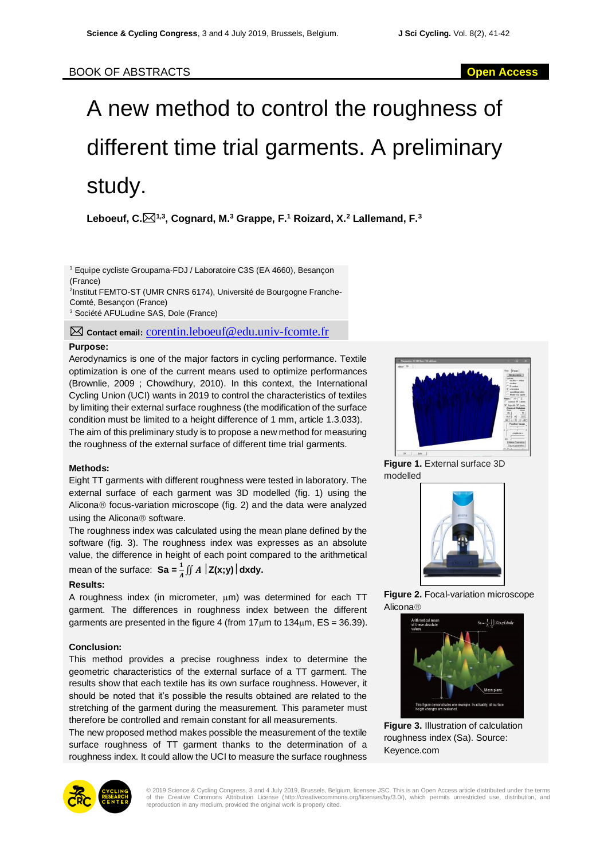# A new method to control the roughness of different time trial garments. A preliminary study.

**Leboeuf, C.1,3 , Cognard, M.<sup>3</sup> Grappe, F.<sup>1</sup> Roizard, X.<sup>2</sup> Lallemand, F.<sup>3</sup>**

<sup>1</sup> Equipe cycliste Groupama-FDJ / Laboratoire C3S (EA 4660), Besançon (France) 2 Institut FEMTO-ST (UMR CNRS 6174), Université de Bourgogne Franche-

Comté, Besançon (France) <sup>3</sup> Société AFULudine SAS, Dole (France)

**Contact email:** corentin.leboeuf@edu.univ-fcomte.fr

## **Purpose:**

Aerodynamics is one of the major factors in cycling performance. Textile optimization is one of the current means used to optimize performances (Brownlie, 2009 ; Chowdhury, 2010). In this context, the International Cycling Union (UCI) wants in 2019 to control the characteristics of textiles by limiting their external surface roughness (the modification of the surface condition must be limited to a height difference of 1 mm, article 1.3.033). The aim of this preliminary study is to propose a new method for measuring the roughness of the external surface of different time trial garments.

## **Methods:**

Eight TT garments with different roughness were tested in laboratory. The external surface of each garment was 3D modelled (fig. 1) using the Alicona<sup>®</sup> focus-variation microscope (fig. 2) and the data were analyzed using the Alicona<sup>®</sup> software.

The roughness index was calculated using the mean plane defined by the software (fig. 3). The roughness index was expresses as an absolute value, the difference in height of each point compared to the arithmetical mean of the surface:  $\mathbf{Sa} = \frac{1}{A} \iint A \left| \mathbf{Z}(\mathbf{x}; \mathbf{y}) \right| d\mathbf{x} d\mathbf{y}$ .

## **Results:**

A roughness index (in micrometer,  $\mu$ m) was determined for each TT garment. The differences in roughness index between the different garments are presented in the figure 4 (from  $17 \mu m$  to  $134 \mu m$ ,  $ES = 36.39$ ).

## **Conclusion:**

This method provides a precise roughness index to determine the geometric characteristics of the external surface of a TT garment. The results show that each textile has its own surface roughness. However, it should be noted that it's possible the results obtained are related to the stretching of the garment during the measurement. This parameter must therefore be controlled and remain constant for all measurements.

The new proposed method makes possible the measurement of the textile surface roughness of TT garment thanks to the determination of a roughness index. It could allow the UCI to measure the surface roughness



**Figure 1.** External surface 3D modelled



**Figure 2.** Focal-variation microscope **Alicona®** 



**Figure 3.** Illustration of calculation roughness index (Sa). Source: Keyence.com



© 2019 Science & Cycling Congress, 3 and 4 July 2019, Brussels, Belgium, licensee JSC. This is an Open Access article distributed under the terms<br>of the Creative Commons Attribution License (http://creativecommons.org/lice reproduction in any medium, provided the original work is properly cited.